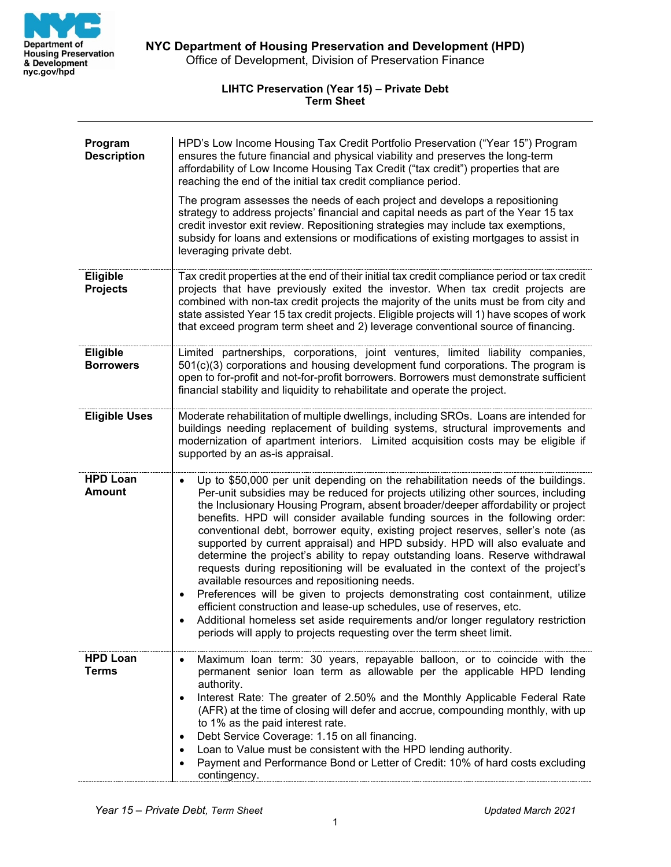

## **LIHTC Preservation (Year 15) – Private Debt Term Sheet**

| Program<br><b>Description</b>       | HPD's Low Income Housing Tax Credit Portfolio Preservation ("Year 15") Program<br>ensures the future financial and physical viability and preserves the long-term<br>affordability of Low Income Housing Tax Credit ("tax credit") properties that are<br>reaching the end of the initial tax credit compliance period.<br>The program assesses the needs of each project and develops a repositioning<br>strategy to address projects' financial and capital needs as part of the Year 15 tax<br>credit investor exit review. Repositioning strategies may include tax exemptions,<br>subsidy for loans and extensions or modifications of existing mortgages to assist in<br>leveraging private debt.                                                                                                                                                                                                                                                                                                                                                                         |
|-------------------------------------|---------------------------------------------------------------------------------------------------------------------------------------------------------------------------------------------------------------------------------------------------------------------------------------------------------------------------------------------------------------------------------------------------------------------------------------------------------------------------------------------------------------------------------------------------------------------------------------------------------------------------------------------------------------------------------------------------------------------------------------------------------------------------------------------------------------------------------------------------------------------------------------------------------------------------------------------------------------------------------------------------------------------------------------------------------------------------------|
| <b>Eligible</b><br><b>Projects</b>  | Tax credit properties at the end of their initial tax credit compliance period or tax credit<br>projects that have previously exited the investor. When tax credit projects are<br>combined with non-tax credit projects the majority of the units must be from city and<br>state assisted Year 15 tax credit projects. Eligible projects will 1) have scopes of work<br>that exceed program term sheet and 2) leverage conventional source of financing.                                                                                                                                                                                                                                                                                                                                                                                                                                                                                                                                                                                                                       |
| <b>Eligible</b><br><b>Borrowers</b> | Limited partnerships, corporations, joint ventures, limited liability companies,<br>501(c)(3) corporations and housing development fund corporations. The program is<br>open to for-profit and not-for-profit borrowers. Borrowers must demonstrate sufficient<br>financial stability and liquidity to rehabilitate and operate the project.                                                                                                                                                                                                                                                                                                                                                                                                                                                                                                                                                                                                                                                                                                                                    |
| <b>Eligible Uses</b>                | Moderate rehabilitation of multiple dwellings, including SROs. Loans are intended for<br>buildings needing replacement of building systems, structural improvements and<br>modernization of apartment interiors. Limited acquisition costs may be eligible if<br>supported by an as-is appraisal.                                                                                                                                                                                                                                                                                                                                                                                                                                                                                                                                                                                                                                                                                                                                                                               |
| <b>HPD Loan</b><br><b>Amount</b>    | Up to \$50,000 per unit depending on the rehabilitation needs of the buildings.<br>$\bullet$<br>Per-unit subsidies may be reduced for projects utilizing other sources, including<br>the Inclusionary Housing Program, absent broader/deeper affordability or project<br>benefits. HPD will consider available funding sources in the following order:<br>conventional debt, borrower equity, existing project reserves, seller's note (as<br>supported by current appraisal) and HPD subsidy. HPD will also evaluate and<br>determine the project's ability to repay outstanding loans. Reserve withdrawal<br>requests during repositioning will be evaluated in the context of the project's<br>available resources and repositioning needs.<br>Preferences will be given to projects demonstrating cost containment, utilize<br>$\bullet$<br>efficient construction and lease-up schedules, use of reserves, etc.<br>Additional homeless set aside requirements and/or longer regulatory restriction<br>periods will apply to projects requesting over the term sheet limit. |
| <b>HPD Loan</b><br><b>Terms</b>     | Maximum loan term: 30 years, repayable balloon, or to coincide with the<br>permanent senior loan term as allowable per the applicable HPD lending<br>authority.<br>Interest Rate: The greater of 2.50% and the Monthly Applicable Federal Rate<br>$\bullet$<br>(AFR) at the time of closing will defer and accrue, compounding monthly, with up<br>to 1% as the paid interest rate.<br>Debt Service Coverage: 1.15 on all financing.<br>٠<br>Loan to Value must be consistent with the HPD lending authority.<br>٠<br>Payment and Performance Bond or Letter of Credit: 10% of hard costs excluding<br>contingency.                                                                                                                                                                                                                                                                                                                                                                                                                                                             |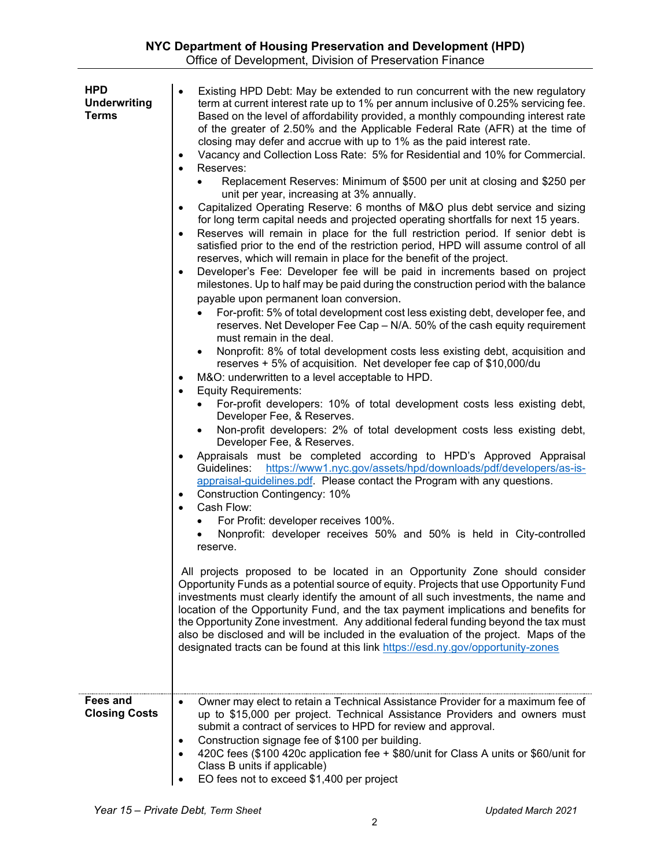| <b>HPD</b><br><b>Underwriting</b><br><b>Terms</b> | Existing HPD Debt: May be extended to run concurrent with the new regulatory<br>$\bullet$<br>term at current interest rate up to 1% per annum inclusive of 0.25% servicing fee.<br>Based on the level of affordability provided, a monthly compounding interest rate<br>of the greater of 2.50% and the Applicable Federal Rate (AFR) at the time of<br>closing may defer and accrue with up to 1% as the paid interest rate.<br>Vacancy and Collection Loss Rate: 5% for Residential and 10% for Commercial.<br>$\bullet$<br>Reserves:<br>$\bullet$<br>Replacement Reserves: Minimum of \$500 per unit at closing and \$250 per<br>unit per year, increasing at 3% annually.<br>Capitalized Operating Reserve: 6 months of M&O plus debt service and sizing<br>$\bullet$<br>for long term capital needs and projected operating shortfalls for next 15 years.<br>Reserves will remain in place for the full restriction period. If senior debt is<br>$\bullet$<br>satisfied prior to the end of the restriction period, HPD will assume control of all<br>reserves, which will remain in place for the benefit of the project.<br>Developer's Fee: Developer fee will be paid in increments based on project<br>$\bullet$<br>milestones. Up to half may be paid during the construction period with the balance<br>payable upon permanent loan conversion.<br>For-profit: 5% of total development cost less existing debt, developer fee, and<br>reserves. Net Developer Fee Cap - N/A. 50% of the cash equity requirement<br>must remain in the deal.<br>Nonprofit: 8% of total development costs less existing debt, acquisition and<br>reserves + 5% of acquisition. Net developer fee cap of \$10,000/du<br>M&O: underwritten to a level acceptable to HPD.<br>$\bullet$<br><b>Equity Requirements:</b><br>$\bullet$<br>For-profit developers: 10% of total development costs less existing debt,<br>Developer Fee, & Reserves.<br>Non-profit developers: 2% of total development costs less existing debt,<br>Developer Fee, & Reserves.<br>Appraisals must be completed according to HPD's Approved Appraisal<br>$\bullet$<br>https://www1.nyc.gov/assets/hpd/downloads/pdf/developers/as-is-<br>Guidelines:<br>appraisal-guidelines.pdf. Please contact the Program with any questions.<br><b>Construction Contingency: 10%</b><br>٠<br>Cash Flow:<br>$\bullet$<br>For Profit: developer receives 100%.<br>Nonprofit: developer receives 50% and 50% is held in City-controlled<br>reserve.<br>All projects proposed to be located in an Opportunity Zone should consider<br>Opportunity Funds as a potential source of equity. Projects that use Opportunity Fund<br>investments must clearly identify the amount of all such investments, the name and<br>location of the Opportunity Fund, and the tax payment implications and benefits for<br>the Opportunity Zone investment. Any additional federal funding beyond the tax must<br>also be disclosed and will be included in the evaluation of the project. Maps of the<br>designated tracts can be found at this link https://esd.ny.gov/opportunity-zones |
|---------------------------------------------------|----------------------------------------------------------------------------------------------------------------------------------------------------------------------------------------------------------------------------------------------------------------------------------------------------------------------------------------------------------------------------------------------------------------------------------------------------------------------------------------------------------------------------------------------------------------------------------------------------------------------------------------------------------------------------------------------------------------------------------------------------------------------------------------------------------------------------------------------------------------------------------------------------------------------------------------------------------------------------------------------------------------------------------------------------------------------------------------------------------------------------------------------------------------------------------------------------------------------------------------------------------------------------------------------------------------------------------------------------------------------------------------------------------------------------------------------------------------------------------------------------------------------------------------------------------------------------------------------------------------------------------------------------------------------------------------------------------------------------------------------------------------------------------------------------------------------------------------------------------------------------------------------------------------------------------------------------------------------------------------------------------------------------------------------------------------------------------------------------------------------------------------------------------------------------------------------------------------------------------------------------------------------------------------------------------------------------------------------------------------------------------------------------------------------------------------------------------------------------------------------------------------------------------------------------------------------------------------------------------------------------------------------------------------------------------------------------------------------------------------------------------------------------------------------------------------------------------------------------------------------------------------------------------------------------------------------------------------------------------------------------------------------------------------------------------------------------------------------------------------------------|
| <b>Fees and</b><br><b>Closing Costs</b>           | Owner may elect to retain a Technical Assistance Provider for a maximum fee of<br>$\bullet$<br>up to \$15,000 per project. Technical Assistance Providers and owners must<br>submit a contract of services to HPD for review and approval.<br>Construction signage fee of \$100 per building.<br>$\bullet$<br>420C fees (\$100 420c application fee + \$80/unit for Class A units or \$60/unit for<br>Class B units if applicable)<br>EO fees not to exceed \$1,400 per project                                                                                                                                                                                                                                                                                                                                                                                                                                                                                                                                                                                                                                                                                                                                                                                                                                                                                                                                                                                                                                                                                                                                                                                                                                                                                                                                                                                                                                                                                                                                                                                                                                                                                                                                                                                                                                                                                                                                                                                                                                                                                                                                                                                                                                                                                                                                                                                                                                                                                                                                                                                                                                            |

t.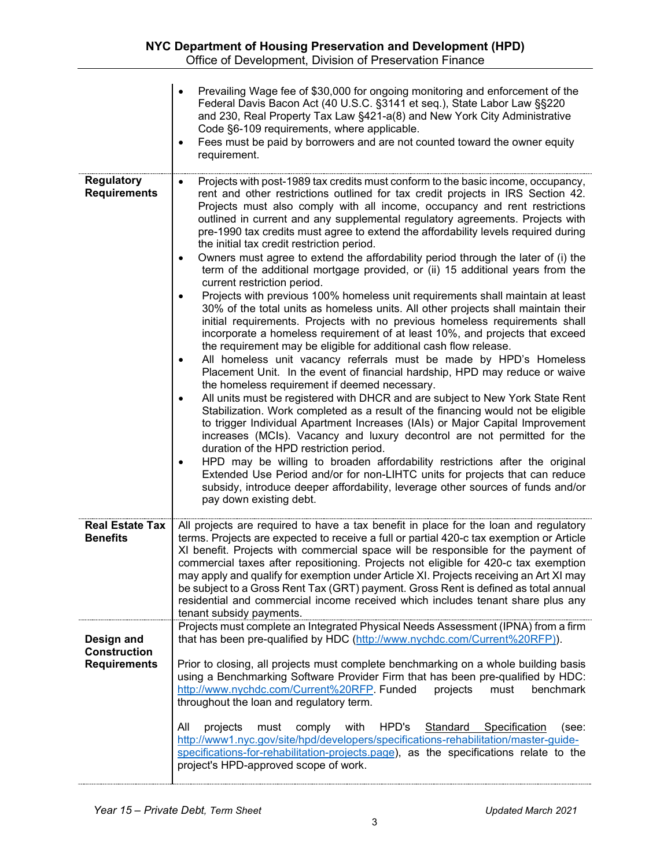|                                                          | Prevailing Wage fee of \$30,000 for ongoing monitoring and enforcement of the<br>Federal Davis Bacon Act (40 U.S.C. §3141 et seq.), State Labor Law §§220<br>and 230, Real Property Tax Law §421-a(8) and New York City Administrative<br>Code §6-109 requirements, where applicable.<br>Fees must be paid by borrowers and are not counted toward the owner equity<br>requirement.                                                                                                                                                                                                                                                                                                                                                                                                                                                                                                                                                                                                                                                                                                                                                                                                                                                                                                                                                                                                                                                                                                                                                                                                                                                                                                                                                                                                                                                                                                                                                                                                           |
|----------------------------------------------------------|-----------------------------------------------------------------------------------------------------------------------------------------------------------------------------------------------------------------------------------------------------------------------------------------------------------------------------------------------------------------------------------------------------------------------------------------------------------------------------------------------------------------------------------------------------------------------------------------------------------------------------------------------------------------------------------------------------------------------------------------------------------------------------------------------------------------------------------------------------------------------------------------------------------------------------------------------------------------------------------------------------------------------------------------------------------------------------------------------------------------------------------------------------------------------------------------------------------------------------------------------------------------------------------------------------------------------------------------------------------------------------------------------------------------------------------------------------------------------------------------------------------------------------------------------------------------------------------------------------------------------------------------------------------------------------------------------------------------------------------------------------------------------------------------------------------------------------------------------------------------------------------------------------------------------------------------------------------------------------------------------|
| <b>Regulatory</b><br><b>Requirements</b>                 | Projects with post-1989 tax credits must conform to the basic income, occupancy,<br>rent and other restrictions outlined for tax credit projects in IRS Section 42.<br>Projects must also comply with all income, occupancy and rent restrictions<br>outlined in current and any supplemental regulatory agreements. Projects with<br>pre-1990 tax credits must agree to extend the affordability levels required during<br>the initial tax credit restriction period.<br>Owners must agree to extend the affordability period through the later of (i) the<br>$\bullet$<br>term of the additional mortgage provided, or (ii) 15 additional years from the<br>current restriction period.<br>Projects with previous 100% homeless unit requirements shall maintain at least<br>30% of the total units as homeless units. All other projects shall maintain their<br>initial requirements. Projects with no previous homeless requirements shall<br>incorporate a homeless requirement of at least 10%, and projects that exceed<br>the requirement may be eligible for additional cash flow release.<br>All homeless unit vacancy referrals must be made by HPD's Homeless<br>$\bullet$<br>Placement Unit. In the event of financial hardship, HPD may reduce or waive<br>the homeless requirement if deemed necessary.<br>All units must be registered with DHCR and are subject to New York State Rent<br>Stabilization. Work completed as a result of the financing would not be eligible<br>to trigger Individual Apartment Increases (IAIs) or Major Capital Improvement<br>increases (MCIs). Vacancy and luxury decontrol are not permitted for the<br>duration of the HPD restriction period.<br>HPD may be willing to broaden affordability restrictions after the original<br>$\bullet$<br>Extended Use Period and/or for non-LIHTC units for projects that can reduce<br>subsidy, introduce deeper affordability, leverage other sources of funds and/or<br>pay down existing debt. |
| <b>Real Estate Tax</b><br><b>Benefits</b>                | All projects are required to have a tax benefit in place for the loan and regulatory<br>terms. Projects are expected to receive a full or partial 420-c tax exemption or Article<br>XI benefit. Projects with commercial space will be responsible for the payment of<br>commercial taxes after repositioning. Projects not eligible for 420-c tax exemption<br>may apply and qualify for exemption under Article XI. Projects receiving an Art XI may<br>be subject to a Gross Rent Tax (GRT) payment. Gross Rent is defined as total annual<br>residential and commercial income received which includes tenant share plus any<br>tenant subsidy payments.                                                                                                                                                                                                                                                                                                                                                                                                                                                                                                                                                                                                                                                                                                                                                                                                                                                                                                                                                                                                                                                                                                                                                                                                                                                                                                                                  |
| Design and<br><b>Construction</b><br><b>Requirements</b> | Projects must complete an Integrated Physical Needs Assessment (IPNA) from a firm<br>that has been pre-qualified by HDC (http://www.nychdc.com/Current%20RFP)).<br>Prior to closing, all projects must complete benchmarking on a whole building basis<br>using a Benchmarking Software Provider Firm that has been pre-qualified by HDC:<br>http://www.nychdc.com/Current%20RFP. Funded<br>must<br>benchmark<br>projects<br>throughout the loan and regulatory term.<br>All<br>projects<br>HPD's<br>Standard<br>Specification<br>must<br>comply<br>with<br>(see:<br>http://www1.nyc.gov/site/hpd/developers/specifications-rehabilitation/master-quide-<br>specifications-for-rehabilitation-projects.page), as the specifications relate to the<br>project's HPD-approved scope of work.                                                                                                                                                                                                                                                                                                                                                                                                                                                                                                                                                                                                                                                                                                                                                                                                                                                                                                                                                                                                                                                                                                                                                                                                    |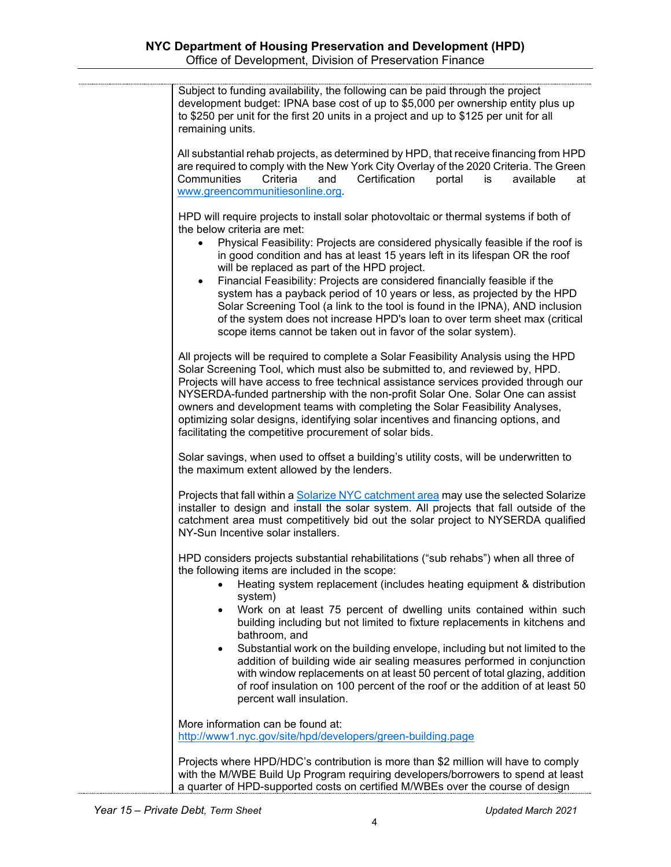| Subject to funding availability, the following can be paid through the project<br>development budget: IPNA base cost of up to \$5,000 per ownership entity plus up<br>to \$250 per unit for the first 20 units in a project and up to \$125 per unit for all<br>remaining units.                                                                                                                                                                                                                                                                                                                                                                                                                                                                                      |
|-----------------------------------------------------------------------------------------------------------------------------------------------------------------------------------------------------------------------------------------------------------------------------------------------------------------------------------------------------------------------------------------------------------------------------------------------------------------------------------------------------------------------------------------------------------------------------------------------------------------------------------------------------------------------------------------------------------------------------------------------------------------------|
| All substantial rehab projects, as determined by HPD, that receive financing from HPD<br>are required to comply with the New York City Overlay of the 2020 Criteria. The Green<br>Communities<br>Criteria<br>and<br>Certification<br>portal<br>is<br>available<br>at<br>www.greencommunitiesonline.org.                                                                                                                                                                                                                                                                                                                                                                                                                                                               |
| HPD will require projects to install solar photovoltaic or thermal systems if both of<br>the below criteria are met:<br>Physical Feasibility: Projects are considered physically feasible if the roof is<br>$\bullet$<br>in good condition and has at least 15 years left in its lifespan OR the roof<br>will be replaced as part of the HPD project.<br>Financial Feasibility: Projects are considered financially feasible if the<br>$\bullet$<br>system has a payback period of 10 years or less, as projected by the HPD<br>Solar Screening Tool (a link to the tool is found in the IPNA), AND inclusion<br>of the system does not increase HPD's loan to over term sheet max (critical<br>scope items cannot be taken out in favor of the solar system).        |
| All projects will be required to complete a Solar Feasibility Analysis using the HPD<br>Solar Screening Tool, which must also be submitted to, and reviewed by, HPD.<br>Projects will have access to free technical assistance services provided through our<br>NYSERDA-funded partnership with the non-profit Solar One. Solar One can assist<br>owners and development teams with completing the Solar Feasibility Analyses,<br>optimizing solar designs, identifying solar incentives and financing options, and<br>facilitating the competitive procurement of solar bids.                                                                                                                                                                                        |
| Solar savings, when used to offset a building's utility costs, will be underwritten to<br>the maximum extent allowed by the lenders.                                                                                                                                                                                                                                                                                                                                                                                                                                                                                                                                                                                                                                  |
| Projects that fall within a <b>Solarize NYC</b> catchment area may use the selected Solarize<br>installer to design and install the solar system. All projects that fall outside of the<br>catchment area must competitively bid out the solar project to NYSERDA qualified<br>NY-Sun Incentive solar installers.                                                                                                                                                                                                                                                                                                                                                                                                                                                     |
| HPD considers projects substantial rehabilitations ("sub rehabs") when all three of<br>the following items are included in the scope:<br>Heating system replacement (includes heating equipment & distribution<br>system)<br>Work on at least 75 percent of dwelling units contained within such<br>٠<br>building including but not limited to fixture replacements in kitchens and<br>bathroom, and<br>Substantial work on the building envelope, including but not limited to the<br>$\bullet$<br>addition of building wide air sealing measures performed in conjunction<br>with window replacements on at least 50 percent of total glazing, addition<br>of roof insulation on 100 percent of the roof or the addition of at least 50<br>percent wall insulation. |
| More information can be found at:<br>http://www1.nyc.gov/site/hpd/developers/green-building.page                                                                                                                                                                                                                                                                                                                                                                                                                                                                                                                                                                                                                                                                      |
| Projects where HPD/HDC's contribution is more than \$2 million will have to comply<br>with the M/WBE Build Up Program requiring developers/borrowers to spend at least                                                                                                                                                                                                                                                                                                                                                                                                                                                                                                                                                                                                |

a quarter of HPD-supported costs on certified M/WBEs over the course of design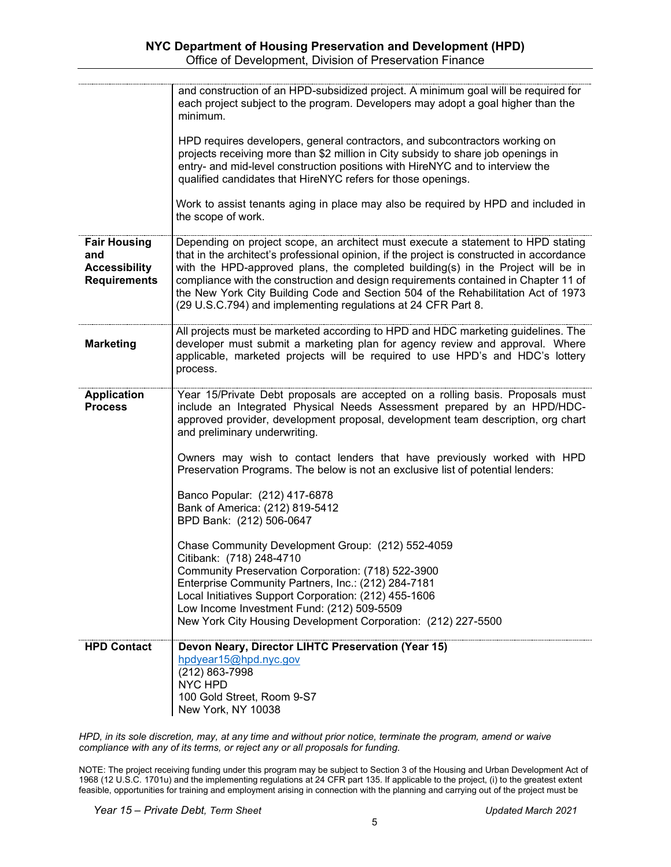|                                                                           | and construction of an HPD-subsidized project. A minimum goal will be required for<br>each project subject to the program. Developers may adopt a goal higher than the<br>minimum.<br>HPD requires developers, general contractors, and subcontractors working on<br>projects receiving more than \$2 million in City subsidy to share job openings in<br>entry- and mid-level construction positions with HireNYC and to interview the<br>qualified candidates that HireNYC refers for those openings.        |
|---------------------------------------------------------------------------|----------------------------------------------------------------------------------------------------------------------------------------------------------------------------------------------------------------------------------------------------------------------------------------------------------------------------------------------------------------------------------------------------------------------------------------------------------------------------------------------------------------|
|                                                                           | Work to assist tenants aging in place may also be required by HPD and included in<br>the scope of work.                                                                                                                                                                                                                                                                                                                                                                                                        |
| <b>Fair Housing</b><br>and<br><b>Accessibility</b><br><b>Requirements</b> | Depending on project scope, an architect must execute a statement to HPD stating<br>that in the architect's professional opinion, if the project is constructed in accordance<br>with the HPD-approved plans, the completed building(s) in the Project will be in<br>compliance with the construction and design requirements contained in Chapter 11 of<br>the New York City Building Code and Section 504 of the Rehabilitation Act of 1973<br>(29 U.S.C.794) and implementing regulations at 24 CFR Part 8. |
| <b>Marketing</b>                                                          | All projects must be marketed according to HPD and HDC marketing guidelines. The<br>developer must submit a marketing plan for agency review and approval. Where<br>applicable, marketed projects will be required to use HPD's and HDC's lottery<br>process.                                                                                                                                                                                                                                                  |
| <b>Application</b><br><b>Process</b>                                      | Year 15/Private Debt proposals are accepted on a rolling basis. Proposals must<br>include an Integrated Physical Needs Assessment prepared by an HPD/HDC-<br>approved provider, development proposal, development team description, org chart<br>and preliminary underwriting.                                                                                                                                                                                                                                 |
|                                                                           | Owners may wish to contact lenders that have previously worked with HPD<br>Preservation Programs. The below is not an exclusive list of potential lenders:                                                                                                                                                                                                                                                                                                                                                     |
|                                                                           | Banco Popular: (212) 417-6878<br>Bank of America: (212) 819-5412<br>BPD Bank: (212) 506-0647                                                                                                                                                                                                                                                                                                                                                                                                                   |
|                                                                           | Chase Community Development Group: (212) 552-4059<br>Citibank: (718) 248-4710<br>Community Preservation Corporation: (718) 522-3900<br>Enterprise Community Partners, Inc.: (212) 284-7181<br>Local Initiatives Support Corporation: (212) 455-1606<br>Low Income Investment Fund: (212) 509-5509<br>New York City Housing Development Corporation: (212) 227-5500                                                                                                                                             |
| <b>HPD Contact</b>                                                        | Devon Neary, Director LIHTC Preservation (Year 15)<br>hpdyear15@hpd.nyc.gov<br>(212) 863-7998<br><b>NYC HPD</b><br>100 Gold Street, Room 9-S7<br>New York, NY 10038                                                                                                                                                                                                                                                                                                                                            |

*HPD, in its sole discretion, may, at any time and without prior notice, terminate the program, amend or waive compliance with any of its terms, or reject any or all proposals for funding.*

NOTE: The project receiving funding under this program may be subject to Section 3 of the Housing and Urban Development Act of 1968 (12 U.S.C. 1701u) and the implementing regulations at 24 CFR part 135. If applicable to the project, (i) to the greatest extent feasible, opportunities for training and employment arising in connection with the planning and carrying out of the project must be

*Year 15 – Private Debt, Term Sheet Updated March 2021*